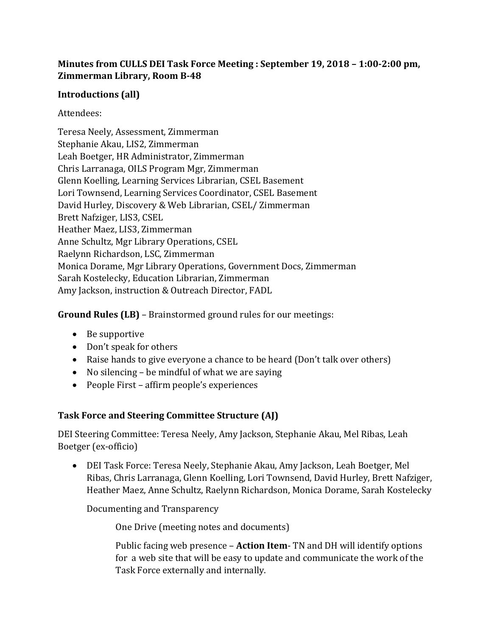# **Minutes from CULLS DEI Task Force Meeting : September 19, 2018 – 1:00-2:00 pm, Zimmerman Library, Room B-48**

## **Introductions (all)**

Attendees:

Teresa Neely, Assessment, Zimmerman Stephanie Akau, LIS2, Zimmerman Leah Boetger, HR Administrator, Zimmerman Chris Larranaga, OILS Program Mgr, Zimmerman Glenn Koelling, Learning Services Librarian, CSEL Basement Lori Townsend, Learning Services Coordinator, CSEL Basement David Hurley, Discovery & Web Librarian, CSEL/ Zimmerman Brett Nafziger, LIS3, CSEL Heather Maez, LIS3, Zimmerman Anne Schultz, Mgr Library Operations, CSEL Raelynn Richardson, LSC, Zimmerman Monica Dorame, Mgr Library Operations, Government Docs, Zimmerman Sarah Kostelecky, Education Librarian, Zimmerman Amy Jackson, instruction & Outreach Director, FADL

**Ground Rules (LB)** – Brainstormed ground rules for our meetings:

- Be supportive
- Don't speak for others
- Raise hands to give everyone a chance to be heard (Don't talk over others)
- No silencing be mindful of what we are saying
- People First affirm people's experiences

# **Task Force and Steering Committee Structure (AJ)**

DEI Steering Committee: Teresa Neely, Amy Jackson, Stephanie Akau, Mel Ribas, Leah Boetger (ex-officio)

 DEI Task Force: Teresa Neely, Stephanie Akau, Amy Jackson, Leah Boetger, Mel Ribas, Chris Larranaga, Glenn Koelling, Lori Townsend, David Hurley, Brett Nafziger, Heather Maez, Anne Schultz, Raelynn Richardson, Monica Dorame, Sarah Kostelecky

Documenting and Transparency

One Drive (meeting notes and documents)

Public facing web presence – **Action Item**- TN and DH will identify options for a web site that will be easy to update and communicate the work of the Task Force externally and internally.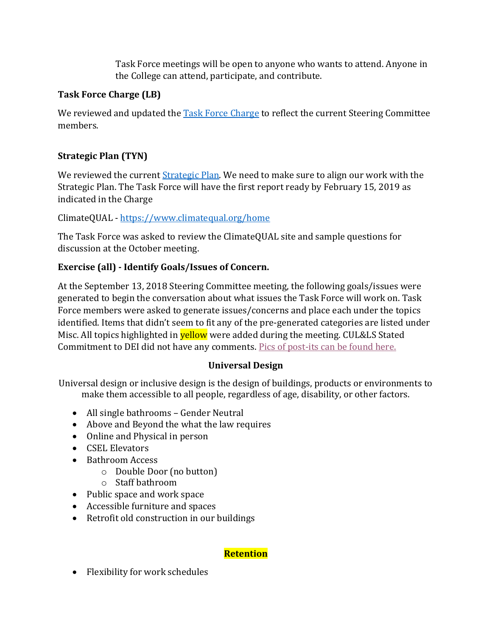Task Force meetings will be open to anyone who wants to attend. Anyone in the College can attend, participate, and contribute.

# **Task Force Charge (LB)**

We reviewed and updated the [Task Force Charge](https://unmm-my.sharepoint.com/:b:/g/personal/neely_unm_edu/EXNOBIeRT6lAsZpy6IuNWxkBsurKr3OQJDGClyZSiu1O1g?e=9Iajg6) to reflect the current Steering Committee members.

# **Strategic Plan (TYN)**

We reviewed the current *Strategic Plan*. We need to make sure to align our work with the Strategic Plan. The Task Force will have the first report ready by February 15, 2019 as indicated in the Charge

ClimateQUAL - <https://www.climatequal.org/home>

The Task Force was asked to review the ClimateQUAL site and sample questions for discussion at the October meeting.

# **Exercise (all) - Identify Goals/Issues of Concern.**

At the September 13, 2018 Steering Committee meeting, the following goals/issues were generated to begin the conversation about what issues the Task Force will work on. Task Force members were asked to generate issues/concerns and place each under the topics identified. Items that didn't seem to fit any of the pre-generated categories are listed under Misc. All topics highlighted in **yellow** were added during the meeting. CUL&LS Stated Commitment to DEI did not have any comments. [Pics of post-its can be found here.](https://unmm-my.sharepoint.com/:f:/g/personal/neely_unm_edu/ErWcuhH60ulCstf3emhtExIBiJH9Lxmp3YCFStDTEFoORg?e=Pq6zlG)

## **Universal Design**

Universal design or inclusive design is the design of buildings, products or environments to make them accessible to all people, regardless of age, disability, or other factors.

- All single bathrooms Gender Neutral
- Above and Beyond the what the law requires
- Online and Physical in person
- CSEL Elevators
- Bathroom Access
	- o Double Door (no button)
	- o Staff bathroom
- Public space and work space
- Accessible furniture and spaces
- Retrofit old construction in our buildings

## **Retention**

• Flexibility for work schedules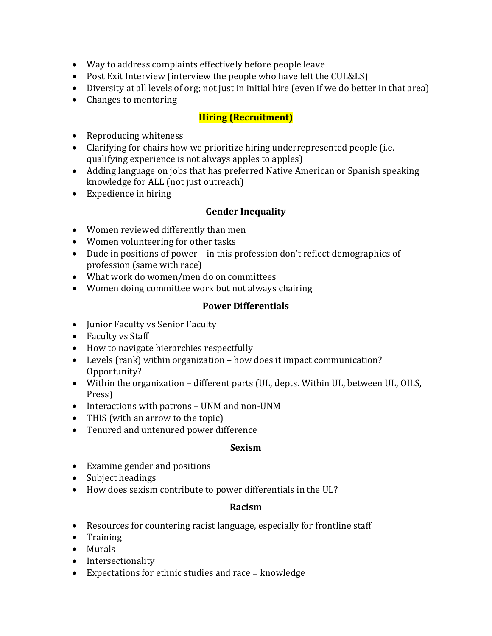- Way to address complaints effectively before people leave
- Post Exit Interview (interview the people who have left the CUL&LS)
- Diversity at all levels of org; not just in initial hire (even if we do better in that area)
- Changes to mentoring

# **Hiring (Recruitment)**

- Reproducing whiteness
- Clarifying for chairs how we prioritize hiring underrepresented people (i.e. qualifying experience is not always apples to apples)
- Adding language on jobs that has preferred Native American or Spanish speaking knowledge for ALL (not just outreach)
- Expedience in hiring

## **Gender Inequality**

- Women reviewed differently than men
- Women volunteering for other tasks
- Dude in positions of power in this profession don't reflect demographics of profession (same with race)
- What work do women/men do on committees
- Women doing committee work but not always chairing

## **Power Differentials**

- Junior Faculty vs Senior Faculty
- Faculty vs Staff
- How to navigate hierarchies respectfully
- Levels (rank) within organization how does it impact communication? Opportunity?
- Within the organization different parts (UL, depts. Within UL, between UL, OILS, Press)
- Interactions with patrons UNM and non-UNM
- THIS (with an arrow to the topic)
- Tenured and untenured power difference

#### **Sexism**

- Examine gender and positions
- Subject headings
- How does sexism contribute to power differentials in the UL?

## **Racism**

- Resources for countering racist language, especially for frontline staff
- Training
- Murals
- Intersectionality
- Expectations for ethnic studies and race = knowledge